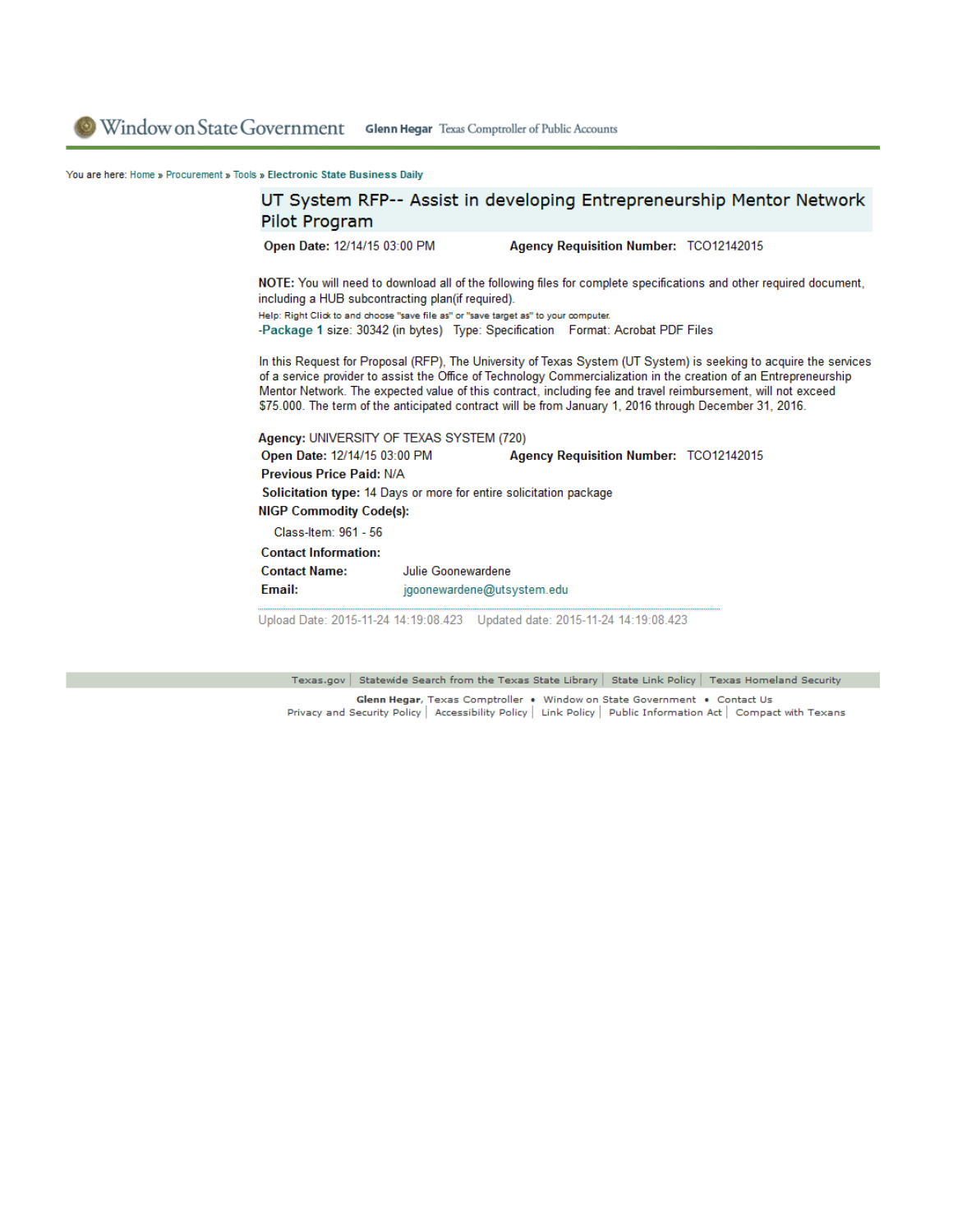You are here: Home » Procurement » Tools » Electronic State Business Daily

## UT System RFP-- Assist in developing Entrepreneurship Mentor Network Pilot Program

Open Date: 12/14/15 03:00 PM

Agency Requisition Number: TCO12142015

NOTE: You will need to download all of the following files for complete specifications and other required document, including a HUB subcontracting plan(if required).

Help: Right Click to and choose "save file as" or "save target as" to your computer. -Package 1 size: 30342 (in bytes) Type: Specification Format: Acrobat PDF Files

In this Request for Proposal (RFP), The University of Texas System (UT System) is seeking to acquire the services of a service provider to assist the Office of Technology Commercialization in the creation of an Entrepreneurship Mentor Network. The expected value of this contract, including fee and travel reimbursement, will not exceed

\$75.000. The term of the anticipated contract will be from January 1, 2016 through December 31, 2016.

Agency: UNIVERSITY OF TEXAS SYSTEM (720) Open Date: 12/14/15 03:00 PM Agency Requisition Number: TCO12142015 **Previous Price Paid: N/A** Solicitation type: 14 Days or more for entire solicitation package **NIGP Commodity Code(s):** Class-Item: 961 - 56 **Contact Information: Contact Name:** Julie Goonewardene Email: jgoonewardene@utsystem.edu

Upload Date: 2015-11-24 14:19:08.423 Updated date: 2015-11-24 14:19:08.423

Texas.gov | Statewide Search from the Texas State Library | State Link Policy | Texas Homeland Security

Glenn Hegar, Texas Comptroller • Window on State Government • Contact Us<br>Privacy and Security Policy | Accessibility Policy | Link Policy | Public Information Act | Compact with Texans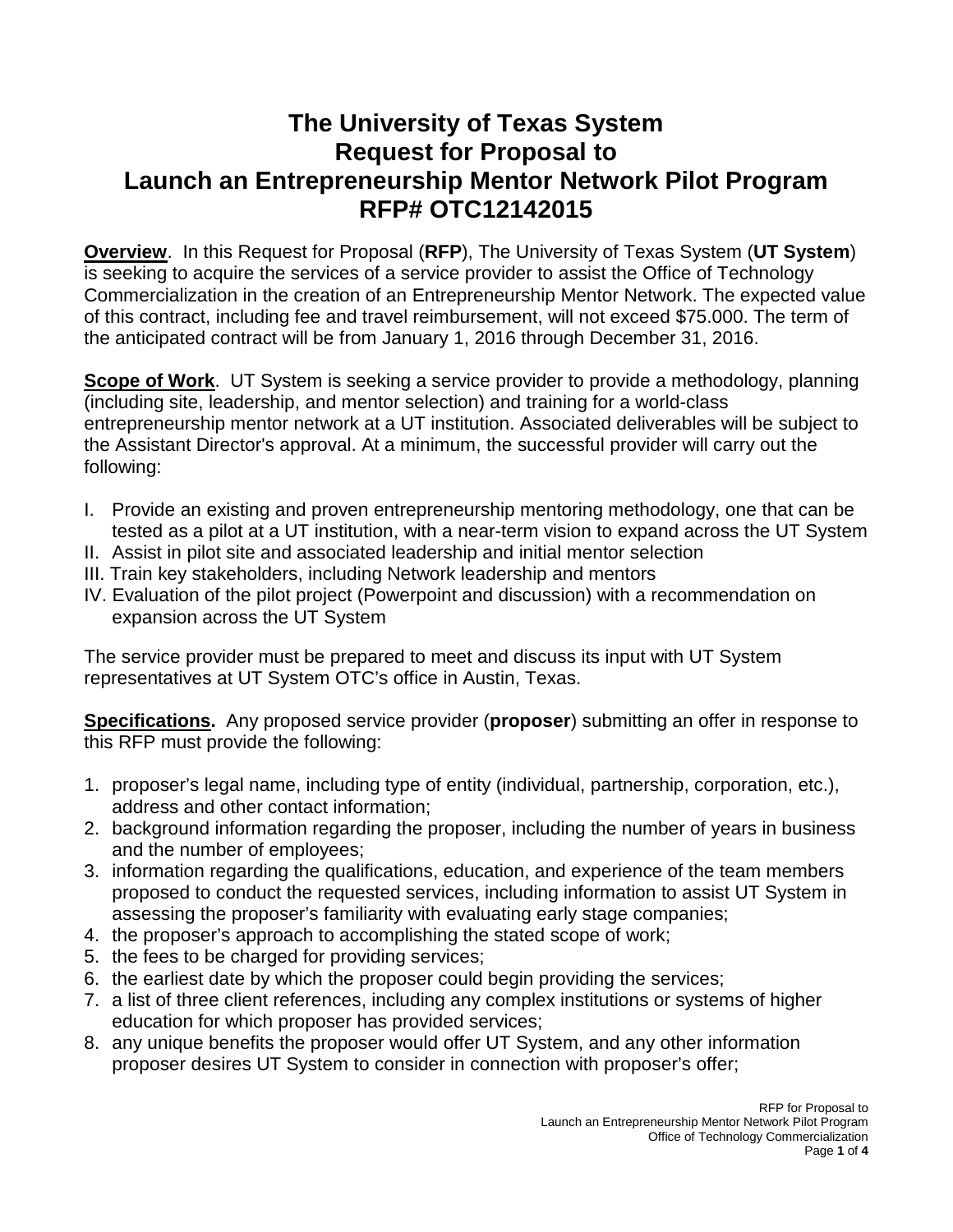# **The University of Texas System Request for Proposal to Launch an Entrepreneurship Mentor Network Pilot Program RFP# OTC12142015**

**Overview**. In this Request for Proposal (**RFP**), The University of Texas System (**UT System**) is seeking to acquire the services of a service provider to assist the Office of Technology Commercialization in the creation of an Entrepreneurship Mentor Network. The expected value of this contract, including fee and travel reimbursement, will not exceed \$75.000. The term of the anticipated contract will be from January 1, 2016 through December 31, 2016.

**Scope of Work**. UT System is seeking a service provider to provide a methodology, planning (including site, leadership, and mentor selection) and training for a world-class entrepreneurship mentor network at a UT institution. Associated deliverables will be subject to the Assistant Director's approval. At a minimum, the successful provider will carry out the following:

- I. Provide an existing and proven entrepreneurship mentoring methodology, one that can be tested as a pilot at a UT institution, with a near-term vision to expand across the UT System
- II. Assist in pilot site and associated leadership and initial mentor selection
- III. Train key stakeholders, including Network leadership and mentors
- IV. Evaluation of the pilot project (Powerpoint and discussion) with a recommendation on expansion across the UT System

The service provider must be prepared to meet and discuss its input with UT System representatives at UT System OTC's office in Austin, Texas.

**Specifications.** Any proposed service provider (**proposer**) submitting an offer in response to this RFP must provide the following:

- 1. proposer's legal name, including type of entity (individual, partnership, corporation, etc.), address and other contact information;
- 2. background information regarding the proposer, including the number of years in business and the number of employees;
- 3. information regarding the qualifications, education, and experience of the team members proposed to conduct the requested services, including information to assist UT System in assessing the proposer's familiarity with evaluating early stage companies;
- 4. the proposer's approach to accomplishing the stated scope of work;
- 5. the fees to be charged for providing services;
- 6. the earliest date by which the proposer could begin providing the services;
- 7. a list of three client references, including any complex institutions or systems of higher education for which proposer has provided services;
- 8. any unique benefits the proposer would offer UT System, and any other information proposer desires UT System to consider in connection with proposer's offer;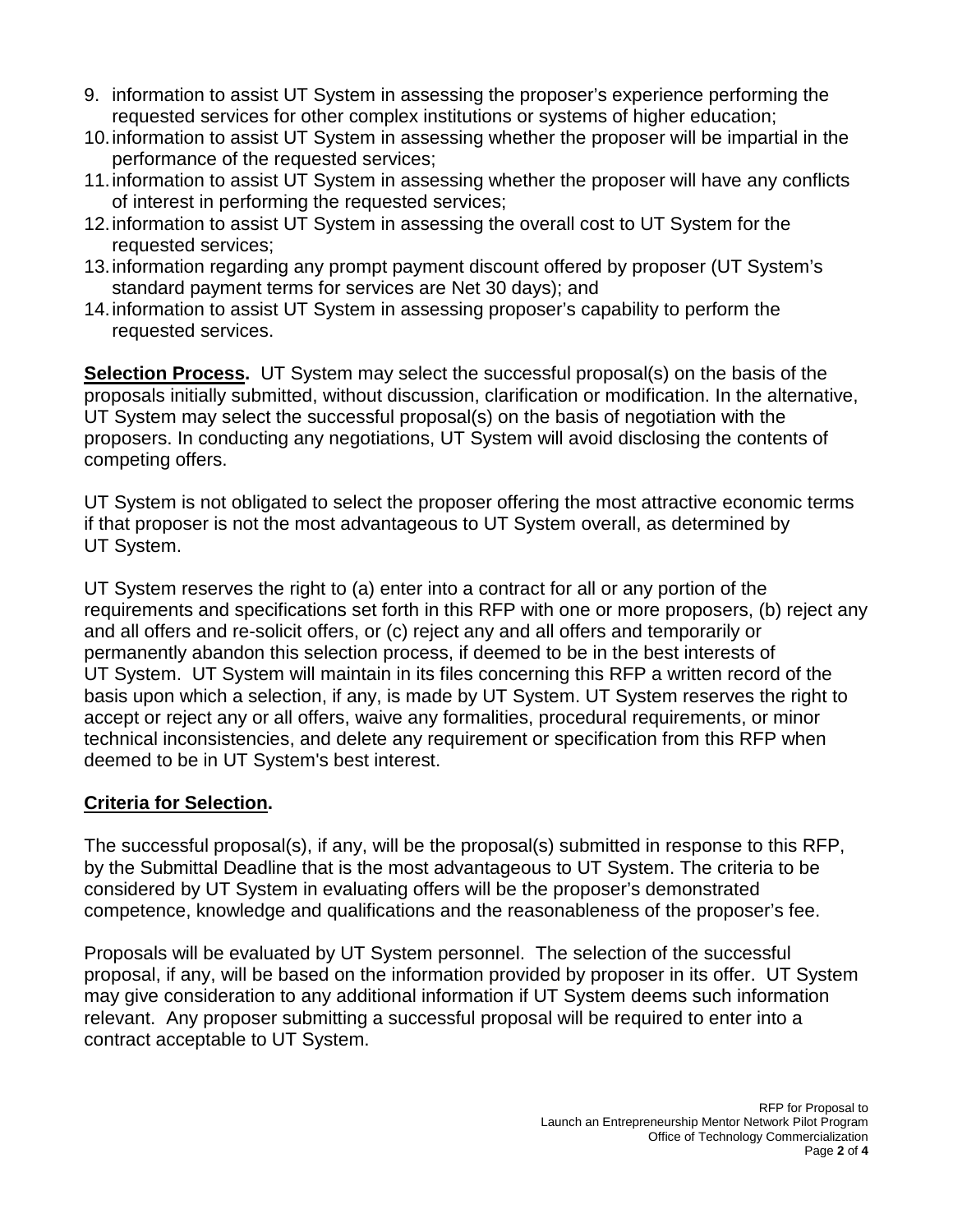- 9. information to assist UT System in assessing the proposer's experience performing the requested services for other complex institutions or systems of higher education;
- 10.information to assist UT System in assessing whether the proposer will be impartial in the performance of the requested services;
- 11.information to assist UT System in assessing whether the proposer will have any conflicts of interest in performing the requested services;
- 12.information to assist UT System in assessing the overall cost to UT System for the requested services;
- 13.information regarding any prompt payment discount offered by proposer (UT System's standard payment terms for services are Net 30 days); and
- 14.information to assist UT System in assessing proposer's capability to perform the requested services.

**Selection Process.** UT System may select the successful proposal(s) on the basis of the proposals initially submitted, without discussion, clarification or modification. In the alternative, UT System may select the successful proposal(s) on the basis of negotiation with the proposers. In conducting any negotiations, UT System will avoid disclosing the contents of competing offers.

UT System is not obligated to select the proposer offering the most attractive economic terms if that proposer is not the most advantageous to UT System overall, as determined by UT System.

UT System reserves the right to (a) enter into a contract for all or any portion of the requirements and specifications set forth in this RFP with one or more proposers, (b) reject any and all offers and re-solicit offers, or (c) reject any and all offers and temporarily or permanently abandon this selection process, if deemed to be in the best interests of UT System. UT System will maintain in its files concerning this RFP a written record of the basis upon which a selection, if any, is made by UT System. UT System reserves the right to accept or reject any or all offers, waive any formalities, procedural requirements, or minor technical inconsistencies, and delete any requirement or specification from this RFP when deemed to be in UT System's best interest.

### **Criteria for Selection.**

The successful proposal(s), if any, will be the proposal(s) submitted in response to this RFP, by the Submittal Deadline that is the most advantageous to UT System. The criteria to be considered by UT System in evaluating offers will be the proposer's demonstrated competence, knowledge and qualifications and the reasonableness of the proposer's fee.

Proposals will be evaluated by UT System personnel. The selection of the successful proposal, if any, will be based on the information provided by proposer in its offer. UT System may give consideration to any additional information if UT System deems such information relevant. Any proposer submitting a successful proposal will be required to enter into a contract acceptable to UT System.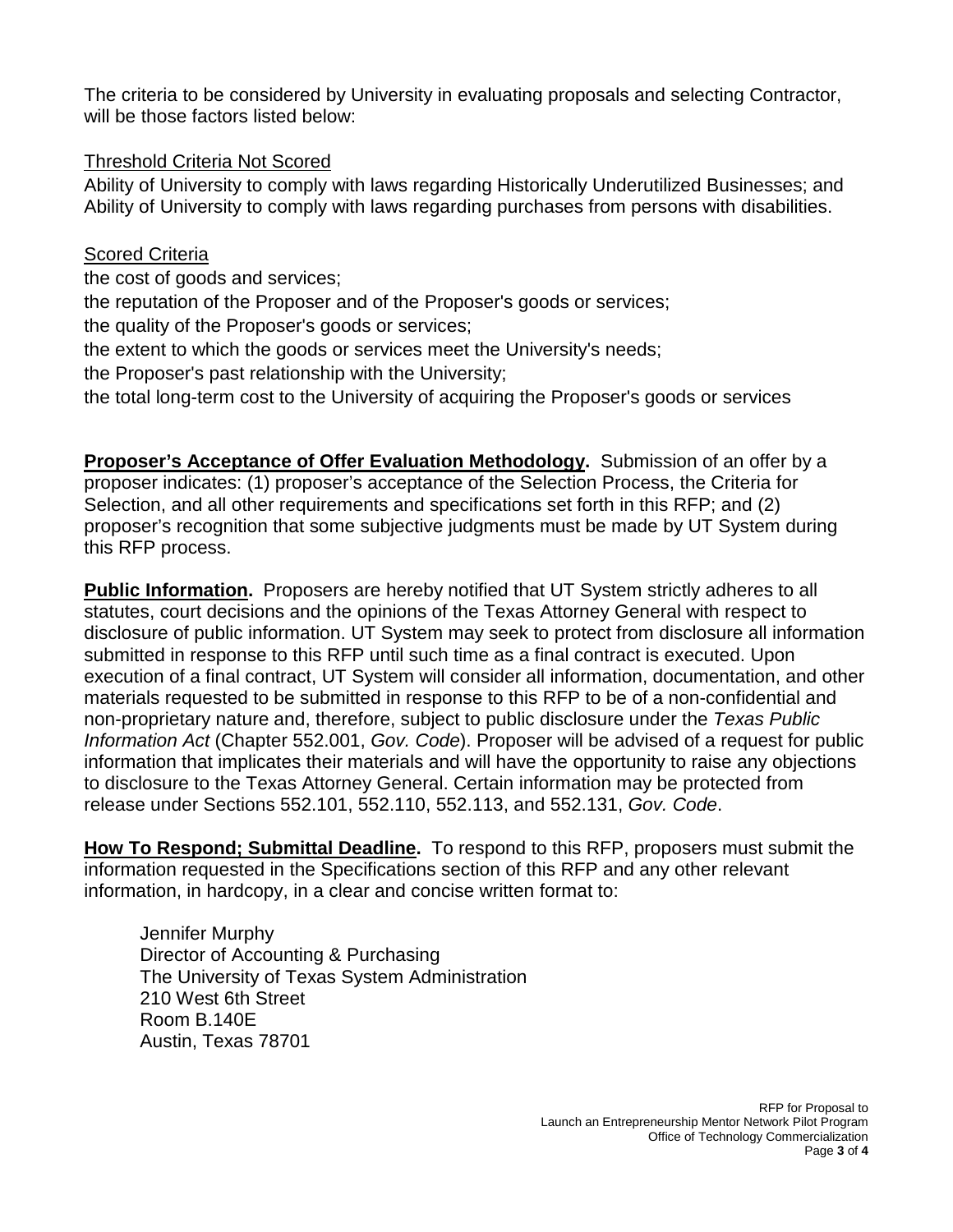The criteria to be considered by University in evaluating proposals and selecting Contractor, will be those factors listed below:

#### Threshold Criteria Not Scored

Ability of University to comply with laws regarding Historically Underutilized Businesses; and Ability of University to comply with laws regarding purchases from persons with disabilities.

#### **Scored Criteria**

the cost of goods and services;

the reputation of the Proposer and of the Proposer's goods or services;

the quality of the Proposer's goods or services;

the extent to which the goods or services meet the University's needs;

the Proposer's past relationship with the University;

the total long-term cost to the University of acquiring the Proposer's goods or services

**Proposer's Acceptance of Offer Evaluation Methodology.** Submission of an offer by a proposer indicates: (1) proposer's acceptance of the Selection Process, the Criteria for Selection, and all other requirements and specifications set forth in this RFP; and (2) proposer's recognition that some subjective judgments must be made by UT System during this RFP process.

**Public Information.** Proposers are hereby notified that UT System strictly adheres to all statutes, court decisions and the opinions of the Texas Attorney General with respect to disclosure of public information. UT System may seek to protect from disclosure all information submitted in response to this RFP until such time as a final contract is executed. Upon execution of a final contract, UT System will consider all information, documentation, and other materials requested to be submitted in response to this RFP to be of a non-confidential and non-proprietary nature and, therefore, subject to public disclosure under the *Texas Public Information Act* (Chapter 552.001, *Gov. Code*). Proposer will be advised of a request for public information that implicates their materials and will have the opportunity to raise any objections to disclosure to the Texas Attorney General. Certain information may be protected from release under Sections 552.101, 552.110, 552.113, and 552.131, *Gov. Code*.

**How To Respond; Submittal Deadline.** To respond to this RFP, proposers must submit the information requested in the Specifications section of this RFP and any other relevant information, in hardcopy, in a clear and concise written format to:

Jennifer Murphy Director of Accounting & Purchasing The University of Texas System Administration 210 West 6th Street Room B.140E Austin, Texas 78701